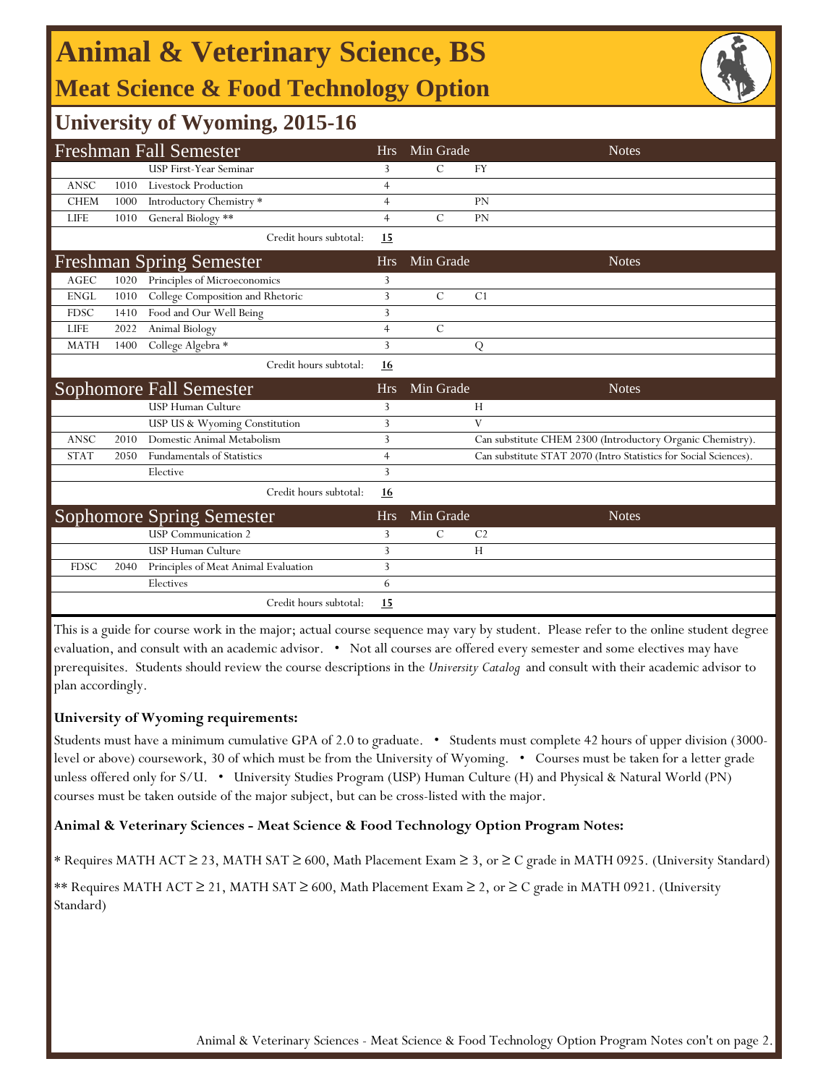# **Animal & Veterinary Science, BS Meat Science & Food Technology Option**



## **University of Wyoming, 2015-16**

| <b>Freshman Fall Semester</b> |      |                                      | <b>Hrs</b>     | Min Grade     | <b>Notes</b>                                                     |
|-------------------------------|------|--------------------------------------|----------------|---------------|------------------------------------------------------------------|
|                               |      | <b>USP First-Year Seminar</b>        | 3              | $\mathcal{C}$ | <b>FY</b>                                                        |
| <b>ANSC</b>                   | 1010 | Livestock Production                 | $\overline{4}$ |               |                                                                  |
| <b>CHEM</b>                   | 1000 | Introductory Chemistry <sup>*</sup>  | $\overline{4}$ |               | <b>PN</b>                                                        |
| <b>LIFE</b>                   | 1010 | General Biology **                   | $\overline{4}$ | $\mathcal{C}$ | <b>PN</b>                                                        |
|                               |      | Credit hours subtotal:               | 15             |               |                                                                  |
|                               |      | <b>Freshman Spring Semester</b>      | <b>Hrs</b>     | Min Grade     | <b>Notes</b>                                                     |
| <b>AGEC</b>                   | 1020 | Principles of Microeconomics         | 3              |               |                                                                  |
| <b>ENGL</b>                   | 1010 | College Composition and Rhetoric     | $\overline{3}$ | $\mathcal{C}$ | C <sub>1</sub>                                                   |
| <b>FDSC</b>                   | 1410 | Food and Our Well Being              | 3              |               |                                                                  |
| <b>LIFE</b>                   | 2022 | Animal Biology                       | $\overline{4}$ | $\mathcal{C}$ |                                                                  |
| <b>MATH</b>                   | 1400 | College Algebra *                    | 3              |               | Q                                                                |
|                               |      | Credit hours subtotal:               | 16             |               |                                                                  |
|                               |      |                                      |                |               |                                                                  |
|                               |      | <b>Sophomore Fall Semester</b>       | <b>Hrs</b>     | Min Grade     | <b>Notes</b>                                                     |
|                               |      | <b>USP Human Culture</b>             | 3              |               | H                                                                |
|                               |      | USP US & Wyoming Constitution        | 3              |               | V                                                                |
| <b>ANSC</b>                   | 2010 | Domestic Animal Metabolism           | 3              |               | Can substitute CHEM 2300 (Introductory Organic Chemistry).       |
| <b>STAT</b>                   | 2050 | <b>Fundamentals of Statistics</b>    | $\overline{4}$ |               | Can substitute STAT 2070 (Intro Statistics for Social Sciences). |
|                               |      | Elective                             | 3              |               |                                                                  |
|                               |      | Credit hours subtotal:               | <u>16</u>      |               |                                                                  |
|                               |      | <b>Sophomore Spring Semester</b>     | <b>Hrs</b>     | Min Grade     | <b>Notes</b>                                                     |
|                               |      | <b>USP</b> Communication 2           | 3              | С             | C <sub>2</sub>                                                   |
|                               |      | <b>USP Human Culture</b>             | 3              |               | H                                                                |
| <b>FDSC</b>                   | 2040 | Principles of Meat Animal Evaluation | 3              |               |                                                                  |
|                               |      | Electives                            | 6              |               |                                                                  |

This is a guide for course work in the major; actual course sequence may vary by student. Please refer to the online student degree evaluation, and consult with an academic advisor. • Not all courses are offered every semester and some electives may have prerequisites. Students should review the course descriptions in the *University Catalog* and consult with their academic advisor to plan accordingly.

## **University of Wyoming requirements:**

Students must have a minimum cumulative GPA of 2.0 to graduate. • Students must complete 42 hours of upper division (3000 level or above) coursework, 30 of which must be from the University of Wyoming. • Courses must be taken for a letter grade unless offered only for S/U. • University Studies Program (USP) Human Culture (H) and Physical & Natural World (PN) courses must be taken outside of the major subject, but can be cross-listed with the major.

### **Animal & Veterinary Sciences - Meat Science & Food Technology Option Program Notes:**

\* Requires MATH ACT ≥ 23, MATH SAT ≥ 600, Math Placement Exam ≥ 3, or ≥ C grade in MATH 0925. (University Standard)

\*\* Requires MATH ACT ≥ 21, MATH SAT ≥ 600, Math Placement Exam ≥ 2, or ≥ C grade in MATH 0921. (University Standard)